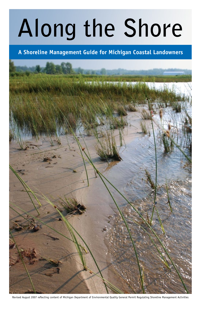# **Along the Shore**

**A Shoreline Management Guide for Michigan Coastal Landowners**



Revised August 2007 reflecting content of Michigan Department of Environmental Quality General Permit Regulating Shoreline Management Activities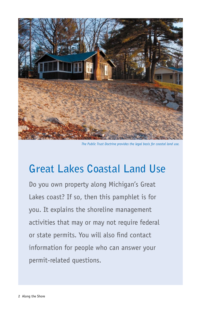

*The Public Trust Doctrine provides the legal basis for coastal land use.* 

## **Great Lakes Coastal Land Use**

Do you own property along Michigan's Great Lakes coast? If so, then this pamphlet is for you. It explains the shoreline management activities that may or may not require federal or state permits. You will also find contact information for people who can answer your permit-related questions.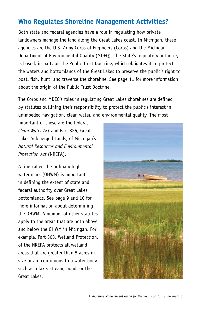#### **Who Regulates Shoreline Management Activities?**

Both state and federal agencies have a role in regulating how private landowners manage the land along the Great Lakes coast. In Michigan, these agencies are the U.S. Army Corps of Engineers (Corps) and the Michigan Department of Environmental Quality (MDEQ). The State's regulatory authority is based, in part, on the Public Trust Doctrine, which obligates it to protect the waters and bottomlands of the Great Lakes to preserve the public's right to boat, fish, hunt, and traverse the shoreline. See page 11 for more information about the origin of the Public Trust Doctrine.

The Corps and MDEQ's roles in regulating Great Lakes shorelines are defined by statutes outlining their responsibility to protect the public's interest in unimpeded navigation, clean water, and environmental quality. The most

important of these are the federal *Clean Water Act* and Part 325, Great Lakes Submerged Lands, of Michigan's *Natural Resources and Environmental Protection Act* (NREPA).

A line called the ordinary high water mark (OHWM) is important in defining the extent of state and federal authority over Great Lakes bottomlands. See page 9 and 10 for more information about determining the OHWM. A number of other statutes apply to the areas that are both above and below the OHWM in Michigan. For example, Part 303, Wetland Protection, of the NREPA protects all wetland areas that are greater than 5 acres in size or are contiguous to a water body, such as a lake, stream, pond, or the Great Lakes.

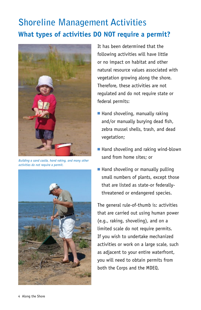## **Shoreline Management Activities What types of activities DO NOT require a permit?**



*Building a sand castle, hand raking, and many other activities do not require a permit.*



It has been determined that the following activities will have little or no impact on habitat and other natural resource values associated with vegetation growing along the shore. Therefore, these activities are not regulated and do not require state or federal permits:

- $\blacksquare$  Hand shoveling, manually raking and/or manually burying dead fish, zebra mussel shells, trash, and dead vegetation;
- Hand shoveling and raking wind-blown sand from home sites; or
- $\blacksquare$  Hand shoveling or manually pulling small numbers of plants, except those that are listed as state-or federallythreatened or endangered species.

The general rule-of-thumb is: activities that are carried out using human power (e.g., raking, shoveling), and on a limited scale do not require permits. If you wish to undertake mechanized activities or work on a large scale, such as adjacent to your entire waterfront, you will need to obtain permits from both the Corps and the MDEQ.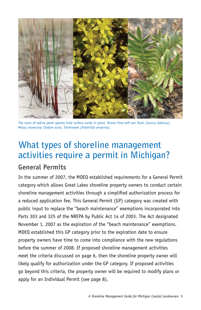

The roots of native plant species hold surface sands in place. Shown from left are: Rush *(Juncus balticus)*, Mossy stonecrop *(Sedum acre)*, Silverweed *(Potentilla anserina).*

### **What types of shoreline management activities require a permit in Michigan? General Permits**

In the summer of 2007, the MDEQ established requirements for a General Permit category which allows Great Lakes shoreline property owners to conduct certain shoreline management activities through a simplified authorization process for a reduced application fee. This General Permit (GP) category was created with public input to replace the "beach maintenance" exemptions incorporated into Parts 303 and 325 of the NREPA by Public Act 14 of 2003. The Act designated November 1, 2007 as the expiration of the "beach maintenance" exemptions. MDEQ established this GP category prior to the expiration date to ensure property owners have time to come into compliance with the new regulations before the summer of 2008. If proposed shoreline management activities meet the criteria discussed on page 6, then the shoreline property owner will likely qualify for authorization under the GP category. If proposed activities go beyond this criteria, the property owner will be required to modify plans or apply for an Individual Permit (see page 8).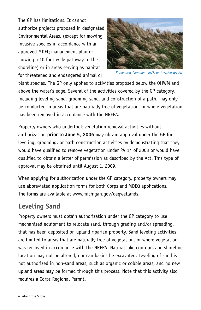The GP has limitations. It cannot authorize projects proposed in designated Environmental Areas, (except for mowing invasive species in accordance with an approved MDEQ management plan or mowing a 10 foot wide pathway to the shoreline) or in areas serving as habitat for threatened and endangered animal or



*Phragmites (common reed), an invasive species*

plant species. The GP only applies to activities proposed below the OHWM and above the water's edge. Several of the activities covered by the GP category, including leveling sand, grooming sand, and construction of a path, may only be conducted in areas that are naturally free of vegetation, or where vegetation has been removed in accordance with the NREPA.

Property owners who undertook vegetation removal activities without authorization **prior to June 5, 2006** may obtain approval under the GP for leveling, grooming, or path construction activities by demonstrating that they would have qualified to remove vegetation under PA 14 of 2003 or would have qualified to obtain a letter of permission as described by the Act. This type of approval may be obtained until August 1, 2009.

When applying for authorization under the GP category, property owners may use abbreviated application forms for both Corps and MDEQ applications. The forms are available at www.michigan.gov/deqwetlands.

#### **Leveling Sand**

Property owners must obtain authorization under the GP category to use mechanized equipment to relocate sand, through grading and/or spreading, that has been deposited on upland riparian property. Sand leveling activities are limited to areas that are naturally free of vegetation, or where vegetation was removed in accordance with the NREPA. Natural lake contours and shoreline location may not be altered, nor can basins be excavated. Leveling of sand is not authorized in non-sand areas, such as organic or cobble areas, and no new upland areas may be formed through this process. Note that this activity also requires a Corps Regional Permit.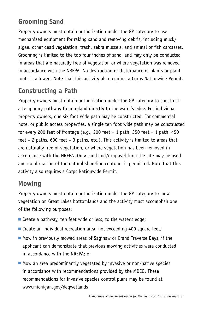#### **Grooming Sand**

Property owners must obtain authorization under the GP category to use mechanized equipment for raking sand and removing debris, including muck/ algae, other dead vegetation, trash, zebra mussels, and animal or fish carcasses. Grooming is limited to the top four inches of sand, and may only be conducted in areas that are naturally free of vegetation or where vegetation was removed in accordance with the NREPA. No destruction or disturbance of plants or plant roots is allowed. Note that this activity also requires a Corps Nationwide Permit.

#### **Constructing a Path**

Property owners must obtain authorization under the GP category to construct a temporary pathway from upland directly to the water's edge. For individual property owners, one six foot wide path may be constructed. For commercial hotel or public access properties, a single ten foot wide path may be constructed for every 200 feet of frontage (e.g., 200 feet = 1 path, 350 feet = 1 path, 450 feet = 2 paths, 600 feet = 3 paths, etc.). This activity is limited to areas that are naturally free of vegetation, or where vegetation has been removed in accordance with the NREPA. Only sand and/or gravel from the site may be used and no alteration of the natural shoreline contours is permitted. Note that this activity also requires a Corps Nationwide Permit.

#### **Mowing**

Property owners must obtain authorization under the GP category to mow vegetation on Great Lakes bottomlands and the activity must accomplish one of the following purposes:

- $\blacksquare$  Create a pathway, ten feet wide or less, to the water's edge;
- $\blacksquare$  Create an individual recreation area, not exceeding 400 square feet;
- Mow in previously mowed areas of Saginaw or Grand Traverse Bays, if the applicant can demonstrate that previous mowing activities were conducted in accordance with the NREPA; or
- $\blacksquare$  Mow an area predominantly vegetated by invasive or non-native species in accordance with recommendations provided by the MDEQ. These recommendations for invasive species control plans may be found at www.michigan.gov/deqwetlands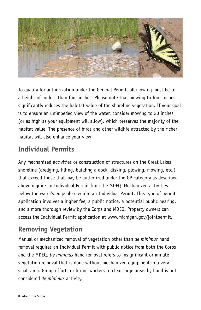

To qualify for authorization under the General Permit, all mowing must be to a height of no less than four inches. Please note that mowing to four inches significantly reduces the habitat value of the shoreline vegetation. If your goal is to ensure an unimpeded view of the water, consider mowing to 20 inches (or as high as your equipment will allow), which preserves the majority of the habitat value. The presence of birds and other wildlife attracted by the richer habitat will also enhance your view!

#### **Individual Permits**

Any mechanized activities or construction of structures on the Great Lakes shoreline (dredging, filling, building a dock, disking, plowing, mowing, etc.) that exceed those that may be authorized under the GP category as described above require an Individual Permit from the MDEQ. Mechanized activities below the water's edge also require an Individual Permit. This type of permit application involves a higher fee, a public notice, a potential public hearing, and a more thorough review by the Corps and MDEQ. Property owners can access the Individual Permit application at www.michigan.gov/jointpermit.

#### **Removing Vegetation**

Manual or mechanized removal of vegetation other than *de minimus* hand removal requires an Individual Permit with public notice from both the Corps and the MDEQ. *De minimus* hand removal refers to insignificant or minute vegetation removal that is done without mechanized equipment in a very small area. Group efforts or hiring workers to clear large areas by hand is not considered *de minimus* activity.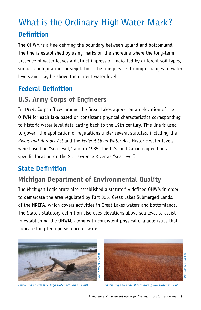## **What is the Ordinary High Water Mark? Definition**

The OHWM is a line defining the boundary between upland and bottomland. The line is established by using marks on the shoreline where the long-term presence of water leaves a distinct impression indicated by different soil types, surface configuration, or vegetation. The line persists through changes in water levels and may be above the current water level.

#### **Federal Definition**

#### **U.S. Army Corps of Engineers**

In 1974, Corps offices around the Great Lakes agreed on an elevation of the OHWM for each lake based on consistent physical characteristics corresponding to historic water level data dating back to the 19th century. This line is used to govern the application of regulations under several statutes, including the *Rivers and Harbors Act* and the *Federal Clean Water Act*. Historic water levels were based on "sea level," and in 1985, the U.S. and Canada agreed on a specific location on the St. Lawrence River as "sea level".

#### **State Definition**

#### **Michigan Department of Environmental Quality**

The Michigan Legislature also established a statutorily defined OHWM in order to demarcate the area regulated by Part 325, Great Lakes Submerged Lands, of the NREPA, which covers activities in Great Lakes waters and bottomlands. The State's statutory definition also uses elevations above sea level to assist in establishing the OHWM, along with consistent physical characteristics that indicate long term persistence of water.





*Dr. Dennis Albert* DENNIS ALBER DR.

*Pinconning outer bay, high water erosion in 1988. Pinconning shoreline shown during low water in 2001.*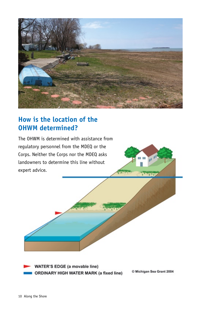

#### **How is the location of the OHWM determined?**

The OHWM is determined with assistance from regulatory personnel from the MDEQ or the Corps. Neither the Corps nor the MDEQ asks landowners to determine this line without expert advice.

**WATER'S EDGE (a movable line)** ORDINARY HIGH WATER MARK (a fixed line)

© Michigan Sea Grant 2004

π.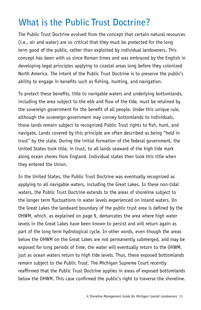## **What is the Public Trust Doctrine?**

The Public Trust Doctrine evolved from the concept that certain natural resources (i.e., air and water) are so critical that they must be protected for the long term good of the public, rather than exploited by individual landowners. This concept has been with us since Roman times and was embraced by the English in developing legal principles applying to coastal areas long before they colonized North America. The intent of the Public Trust Doctrine is to preserve the public's ability to engage in benefits such as fishing, hunting, and navigation.

To protect these benefits, title to navigable waters and underlying bottomlands, including the area subject to the ebb and flow of the tide, must be retained by the sovereign government for the benefit of all people. Under this unique rule, although the sovereign government may convey bottomlands to individuals, those lands remain subject to recognized Public Trust rights to fish, hunt, and navigate. Lands covered by this principle are often described as being "held in trust" by the state. During the initial formation of the federal government, the United States took title, in trust, to all lands seaward of the high tide mark along ocean shores from England. Individual states then took this title when they entered the Union.

In the United States, the Public Trust Doctrine was eventually recognized as applying to all navigable waters, including the Great Lakes. In these non-tidal waters, the Public Trust Doctrine extends to the areas of shoreline subject to the longer term fluctuations in water levels experienced on inland waters. On the Great Lakes the landward boundary of the public trust area is defined by the OHWM, which, as explained on page 9, demarcates the area where high water levels in the Great Lakes have been known to persist and will return again as part of the long term hydrological cycle. In other words, even though the areas below the OHWM on the Great Lakes are not permanently submerged, and may be exposed for long periods of time, the water will eventually return to the OHWM, just as ocean waters return to high tide levels. Thus, these exposed bottomlands remain subject to the Public Trust. The Michigan Supreme Court recently reaffirmed that the Public Trust Doctrine applies in areas of exposed bottomlands below the OHWM. This case confirmed the public's right to traverse the shoreline.